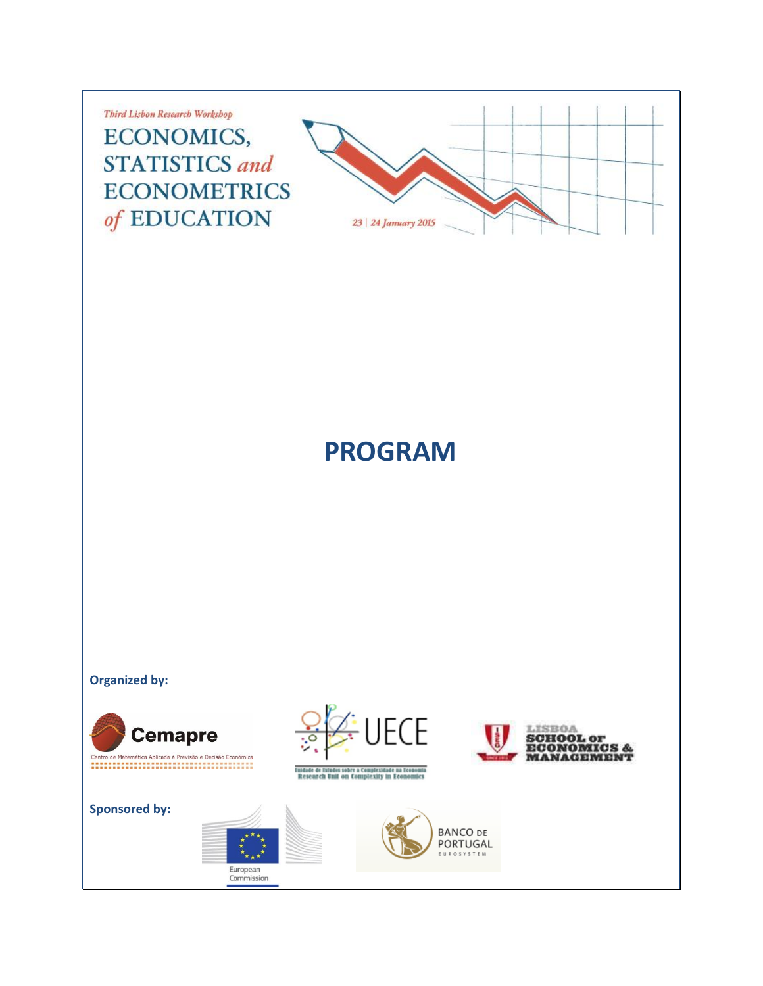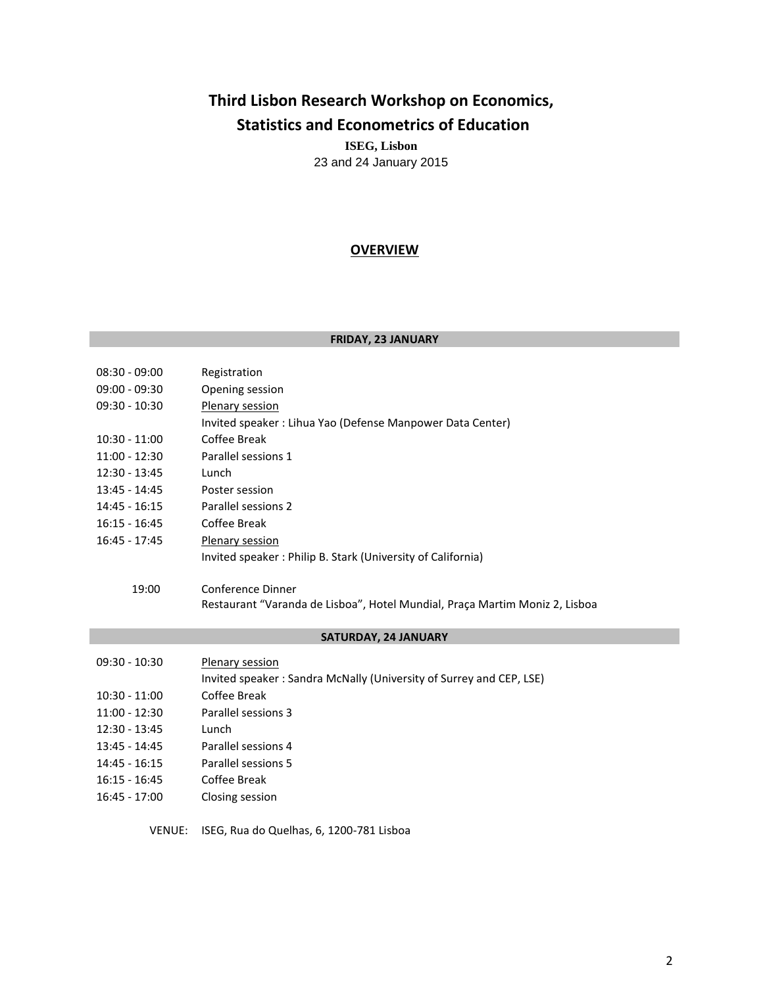# **Third Lisbon Research Workshop on Economics, Statistics and Econometrics of Education ISEG, Lisbon**

23 and 24 January 2015

# **OVERVIEW**

## **FRIDAY, 23 JANUARY**

| $08:30 - 09:00$ | Registration                                                                |
|-----------------|-----------------------------------------------------------------------------|
| $09:00 - 09:30$ | Opening session                                                             |
| $09:30 - 10:30$ | Plenary session                                                             |
|                 | Invited speaker : Lihua Yao (Defense Manpower Data Center)                  |
| $10:30 - 11:00$ | Coffee Break                                                                |
| $11:00 - 12:30$ | Parallel sessions 1                                                         |
| $12:30 - 13:45$ | Lunch                                                                       |
| $13:45 - 14:45$ | Poster session                                                              |
| 14:45 - 16:15   | Parallel sessions 2                                                         |
| $16:15 - 16:45$ | Coffee Break                                                                |
| $16:45 - 17:45$ | Plenary session                                                             |
|                 | Invited speaker: Philip B. Stark (University of California)                 |
|                 |                                                                             |
| 19:00           | Conference Dinner                                                           |
|                 | Restaurant "Varanda de Lisboa", Hotel Mundial, Praça Martim Moniz 2, Lisboa |
|                 |                                                                             |

## **SATURDAY, 24 JANUARY**

| $09:30 - 10:30$ | Plenary session                                                     |
|-----------------|---------------------------------------------------------------------|
|                 | Invited speaker: Sandra McNally (University of Surrey and CEP, LSE) |
| $10:30 - 11:00$ | Coffee Break                                                        |
| $11:00 - 12:30$ | Parallel sessions 3                                                 |
| $12:30 - 13:45$ | Lunch                                                               |
| $13:45 - 14:45$ | Parallel sessions 4                                                 |
| $14:45 - 16:15$ | Parallel sessions 5                                                 |
| $16:15 - 16:45$ | Coffee Break                                                        |
| $16:45 - 17:00$ | Closing session                                                     |
|                 |                                                                     |

VENUE: ISEG, Rua do Quelhas, 6, 1200-781 Lisboa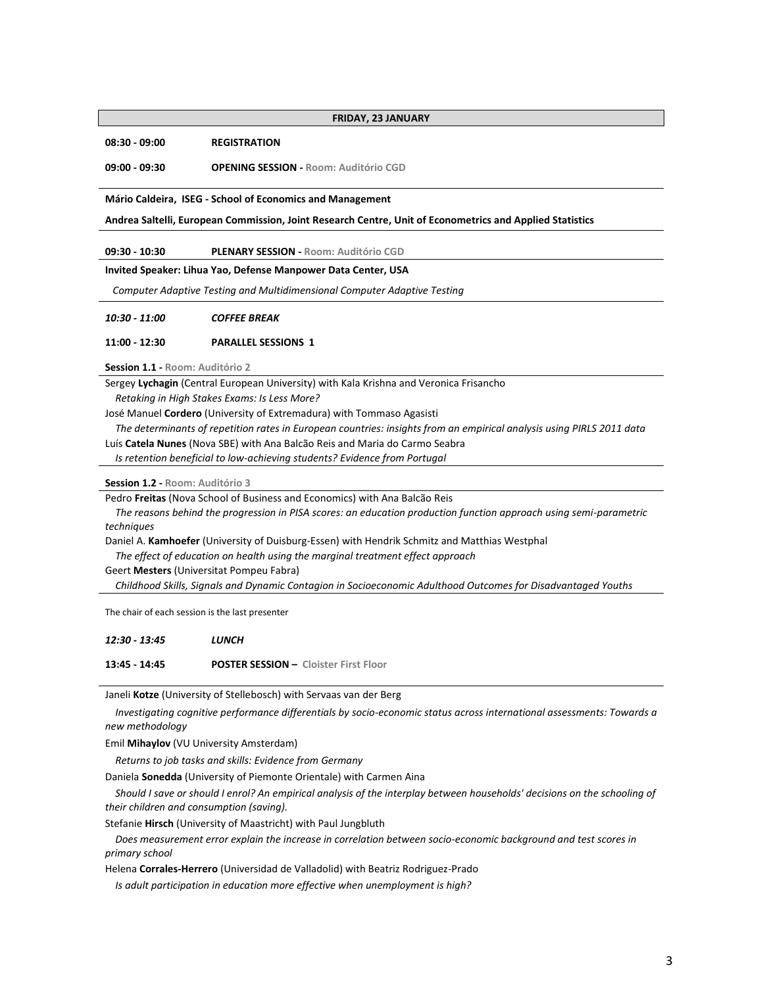#### **FRIDAY, 23 JANUARY**

**08:30 - 09:00 REGISTRATION**

**09:00 - 09:30 OPENING SESSION - Room: Auditório CGD**

**Mário Caldeira, ISEG - School of Economics and Management**

**Andrea Saltelli, European Commission, Joint Research Centre, Unit of Econometrics and Applied Statistics**

**09:30 - 10:30 PLENARY SESSION - Room: Auditório CGD**

**Invited Speaker: Lihua Yao, Defense Manpower Data Center, USA**

 *Computer Adaptive Testing and Multidimensional Computer Adaptive Testing*

| 10:30 - 11:00 | <b>COFFEE BREAK</b> |  |  |  |  |  |  |  |  |  |  |
|---------------|---------------------|--|--|--|--|--|--|--|--|--|--|
|---------------|---------------------|--|--|--|--|--|--|--|--|--|--|

#### **11:00 - 12:30 PARALLEL SESSIONS 1**

**Session 1.1 - Room: Auditório 2**

Sergey **Lychagin** (Central European University) with Kala Krishna and Veronica Frisancho

 *Retaking in High Stakes Exams: Is Less More?*

José Manuel **Cordero** (University of Extremadura) with Tommaso Agasisti

 *The determinants of repetition rates in European countries: insights from an empirical analysis using PIRLS 2011 data*

Luís **Catela Nunes** (Nova SBE) with Ana Balcão Reis and Maria do Carmo Seabra

 *Is retention beneficial to low-achieving students? Evidence from Portugal*

**Session 1.2 - Room: Auditório 3**

Pedro **Freitas** (Nova School of Business and Economics) with Ana Balcão Reis

 *The reasons behind the progression in PISA scores: an education production function approach using semi-parametric techniques*

Daniel A. **Kamhoefer** (University of Duisburg-Essen) with Hendrik Schmitz and Matthias Westphal

 *The effect of education on health using the marginal treatment effect approach*

Geert **Mesters** (Universitat Pompeu Fabra)

 *Childhood Skills, Signals and Dynamic Contagion in Socioeconomic Adulthood Outcomes for Disadvantaged Youths*

The chair of each session is the last presenter

| 12:30 - 13:45 | LUNCH                                        |
|---------------|----------------------------------------------|
| 13:45 - 14:45 | <b>POSTER SESSION - Cloister First Floor</b> |

Janeli **Kotze** (University of Stellebosch) with Servaas van der Berg

 *Investigating cognitive performance differentials by socio-economic status across international assessments: Towards a new methodology*

Emil **Mihaylov** (VU University Amsterdam)

 *Returns to job tasks and skills: Evidence from Germany*

Daniela **Sonedda** (University of Piemonte Orientale) with Carmen Aina

 *Should I save or should I enrol? An empirical analysis of the interplay between households' decisions on the schooling of their children and consumption (saving).*

Stefanie **Hirsch** (University of Maastricht) with Paul Jungbluth

 *Does measurement error explain the increase in correlation between socio-economic background and test scores in primary school*

Helena **Corrales-Herrero** (Universidad de Valladolid) with Beatriz Rodriguez-Prado

 *Is adult participation in education more effective when unemployment is high?*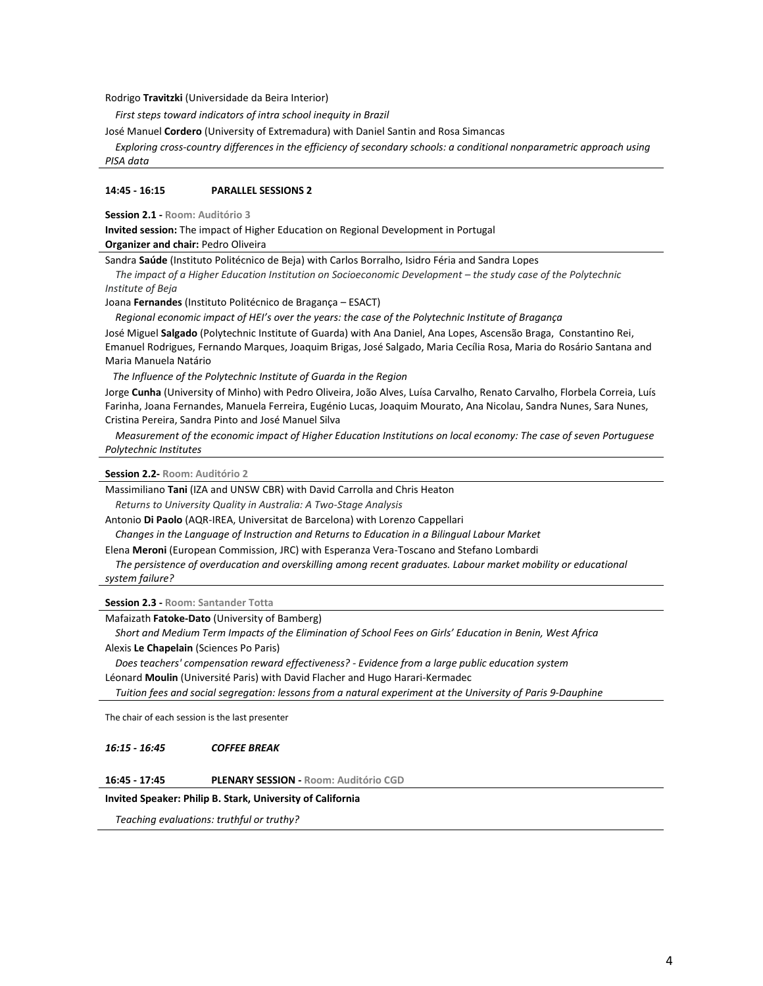Rodrigo **Travitzki** (Universidade da Beira Interior)

 *First steps toward indicators of intra school inequity in Brazil*

José Manuel **Cordero** (University of Extremadura) with Daniel Santin and Rosa Simancas

 *Exploring cross-country differences in the efficiency of secondary schools: a conditional nonparametric approach using PISA data*

## **14:45 - 16:15 PARALLEL SESSIONS 2**

**Session 2.1 - Room: Auditório 3**

**Invited session:** The impact of Higher Education on Regional Development in Portugal **Organizer and chair:** Pedro Oliveira

Sandra **Saúde** (Instituto Politécnico de Beja) with Carlos Borralho, Isidro Féria and Sandra Lopes

*The impact of a Higher Education Institution on Socioeconomic Development - the study case of the Polytechnic Institute of Beja*

Joana **Fernandes** (Instituto Politécnico de Bragança – ESACT)

 *Regional economic impact of HEI's over the years: the case of the Polytechnic Institute of Bragança*

José Miguel **Salgado** (Polytechnic Institute of Guarda) with Ana Daniel, Ana Lopes, Ascensão Braga, Constantino Rei, Emanuel Rodrigues, Fernando Marques, Joaquim Brigas, José Salgado, Maria Cecília Rosa, Maria do Rosário Santana and Maria Manuela Natário

 *The Influence of the Polytechnic Institute of Guarda in the Region*

Jorge **Cunha** (University of Minho) with Pedro Oliveira, João Alves, Luísa Carvalho, Renato Carvalho, Florbela Correia, Luís Farinha, Joana Fernandes, Manuela Ferreira, Eugénio Lucas, Joaquim Mourato, Ana Nicolau, Sandra Nunes, Sara Nunes, Cristina Pereira, Sandra Pinto and José Manuel Silva

 *Measurement of the economic impact of Higher Education Institutions on local economy: The case of seven Portuguese Polytechnic Institutes*

**Session 2.2- Room: Auditório 2**

Massimiliano **Tani** (IZA and UNSW CBR) with David Carrolla and Chris Heaton  *Returns to University Quality in Australia: A Two-Stage Analysis*

Antonio **Di Paolo** (AQR-IREA, Universitat de Barcelona) with Lorenzo Cappellari

 *Changes in the Language of Instruction and Returns to Education in a Bilingual Labour Market*

Elena **Meroni** (European Commission, JRC) with Esperanza Vera-Toscano and Stefano Lombardi

 *The persistence of overducation and overskilling among recent graduates. Labour market mobility or educational system failure?*

**Session 2.3 - Room: Santander Totta**

Mafaizath **Fatoke-Dato** (University of Bamberg)

 *Short and Medium Term Impacts of the Elimination of School Fees on Girls' Education in Benin, West Africa* Alexis **Le Chapelain** (Sciences Po Paris)

 *Does teachers' compensation reward effectiveness? - Evidence from a large public education system* Léonard **Moulin** (Université Paris) with David Flacher and Hugo Harari-Kermadec

 *Tuition fees and social segregation: lessons from a natural experiment at the University of Paris 9-Dauphine*

The chair of each session is the last presenter

*16:15 - 16:45 COFFEE BREAK*

## **16:45 - 17:45 PLENARY SESSION - Room: Auditório CGD**

## **Invited Speaker: Philip B. Stark, University of California**

 *Teaching evaluations: truthful or truthy?*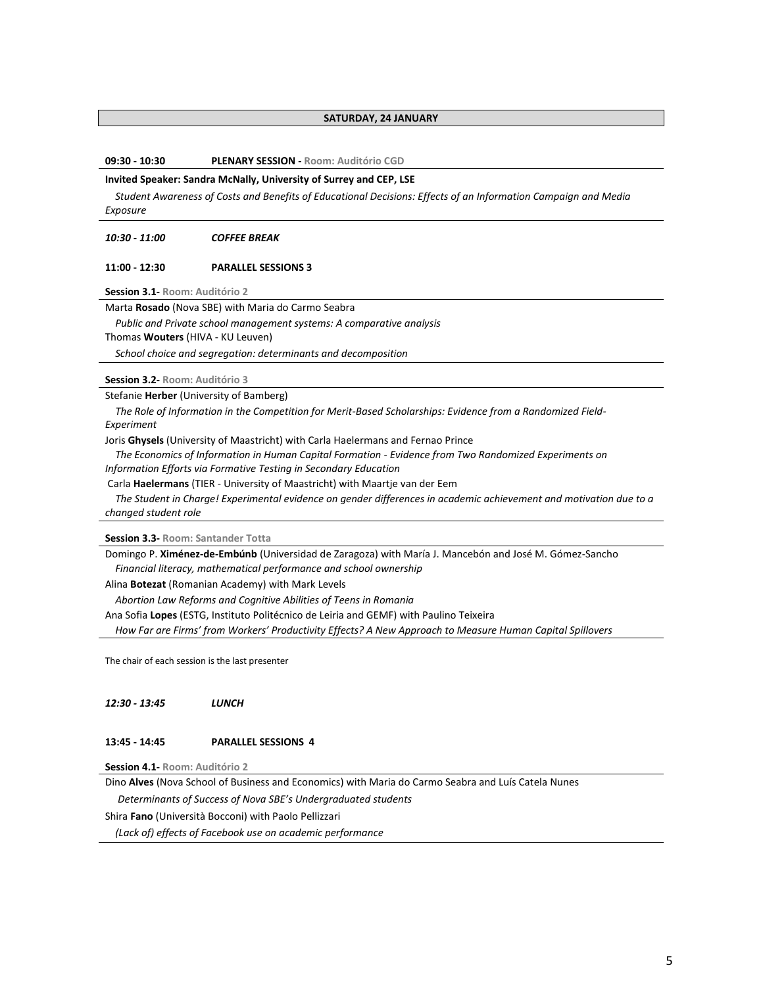## **SATURDAY, 24 JANUARY**

**09:30 - 10:30 PLENARY SESSION - Room: Auditório CGD**

#### **Invited Speaker: Sandra McNally, University of Surrey and CEP, LSE**

 *Student Awareness of Costs and Benefits of Educational Decisions: Effects of an Information Campaign and Media Exposure*

## *10:30 - 11:00 COFFEE BREAK*

#### **11:00 - 12:30 PARALLEL SESSIONS 3**

**Session 3.1- Room: Auditório 2**

Marta **Rosado** (Nova SBE) with Maria do Carmo Seabra

 *Public and Private school management systems: A comparative analysis*

Thomas **Wouters** (HIVA - KU Leuven)

 *School choice and segregation: determinants and decomposition*

**Session 3.2- Room: Auditório 3**

Stefanie **Herber** (University of Bamberg)

 *The Role of Information in the Competition for Merit-Based Scholarships: Evidence from a Randomized Field-Experiment*

Joris **Ghysels** (University of Maastricht) with Carla Haelermans and Fernao Prince

 *The Economics of Information in Human Capital Formation - Evidence from Two Randomized Experiments on Information Efforts via Formative Testing in Secondary Education*

Carla **Haelermans** (TIER - University of Maastricht) with Maartje van der Eem

 *The Student in Charge! Experimental evidence on gender differences in academic achievement and motivation due to a changed student role*

**Session 3.3- Room: Santander Totta**

Domingo P. **Ximénez-de-Embúnb** (Universidad de Zaragoza) with María J. Mancebón and José M. Gómez-Sancho  *Financial literacy, mathematical performance and school ownership*

Alina **Botezat** (Romanian Academy) with Mark Levels

 *Abortion Law Reforms and Cognitive Abilities of Teens in Romania*

Ana Sofia **Lopes** (ESTG, Instituto Politécnico de Leiria and GEMF) with Paulino Teixeira

 *How Far are Firms' from Workers' Productivity Effects? A New Approach to Measure Human Capital Spillovers*

The chair of each session is the last presenter

*12:30 - 13:45 LUNCH*

#### **13:45 - 14:45 PARALLEL SESSIONS 4**

**Session 4.1- Room: Auditório 2**

Dino **Alves** (Nova School of Business and Economics) with Maria do Carmo Seabra and Luís Catela Nunes

 *Determinants of Success of Nova SBE's Undergraduated students*

Shira **Fano** (Università Bocconi) with Paolo Pellizzari

 *(Lack of) effects of Facebook use on academic performance*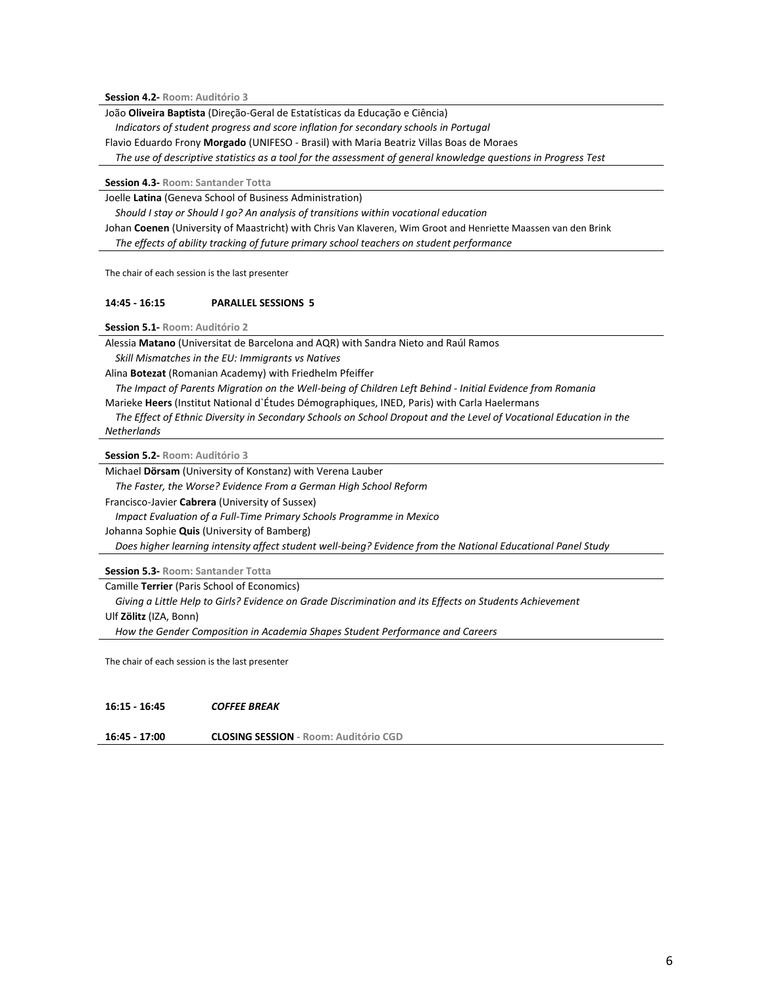**Session 4.2- Room: Auditório 3**

João **Oliveira Baptista** (Direção-Geral de Estatísticas da Educação e Ciência)

 *Indicators of student progress and score inflation for secondary schools in Portugal*

Flavio Eduardo Frony **Morgado** (UNIFESO - Brasil) with Maria Beatriz Villas Boas de Moraes

 *The use of descriptive statistics as a tool for the assessment of general knowledge questions in Progress Test*

**Session 4.3- Room: Santander Totta**

Joelle **Latina** (Geneva School of Business Administration)

 *Should I stay or Should I go? An analysis of transitions within vocational education* Johan **Coenen** (University of Maastricht) with Chris Van Klaveren, Wim Groot and Henriette Maassen van den Brink  *The effects of ability tracking of future primary school teachers on student performance*

The chair of each session is the last presenter

## **14:45 - 16:15 PARALLEL SESSIONS 5**

**Session 5.1- Room: Auditório 2**

Alessia **Matano** (Universitat de Barcelona and AQR) with Sandra Nieto and Raúl Ramos

 *Skill Mismatches in the EU: Immigrants vs Natives*

Alina **Botezat** (Romanian Academy) with Friedhelm Pfeiffer

 *The Impact of Parents Migration on the Well-being of Children Left Behind - Initial Evidence from Romania* Marieke **Heers** (Institut National d`Études Démographiques, INED, Paris) with Carla Haelermans

 *The Effect of Ethnic Diversity in Secondary Schools on School Dropout and the Level of Vocational Education in the Netherlands* 

**Session 5.2- Room: Auditório 3**

Michael **Dörsam** (University of Konstanz) with Verena Lauber

 *The Faster, the Worse? Evidence From a German High School Reform*

Francisco-Javier **Cabrera** (University of Sussex)

 *Impact Evaluation of a Full-Time Primary Schools Programme in Mexico*

Johanna Sophie **Quis** (University of Bamberg)

 *Does higher learning intensity affect student well-being? Evidence from the National Educational Panel Study*

**Session 5.3- Room: Santander Totta**

Camille **Terrier** (Paris School of Economics)

 *Giving a Little Help to Girls? Evidence on Grade Discrimination and its Effects on Students Achievement*

Ulf **Zölitz** (IZA, Bonn)

 *How the Gender Composition in Academia Shapes Student Performance and Careers*

The chair of each session is the last presenter

**16:15 - 16:45** *COFFEE BREAK*

**16:45 - 17:00 CLOSING SESSION - Room: Auditório CGD**